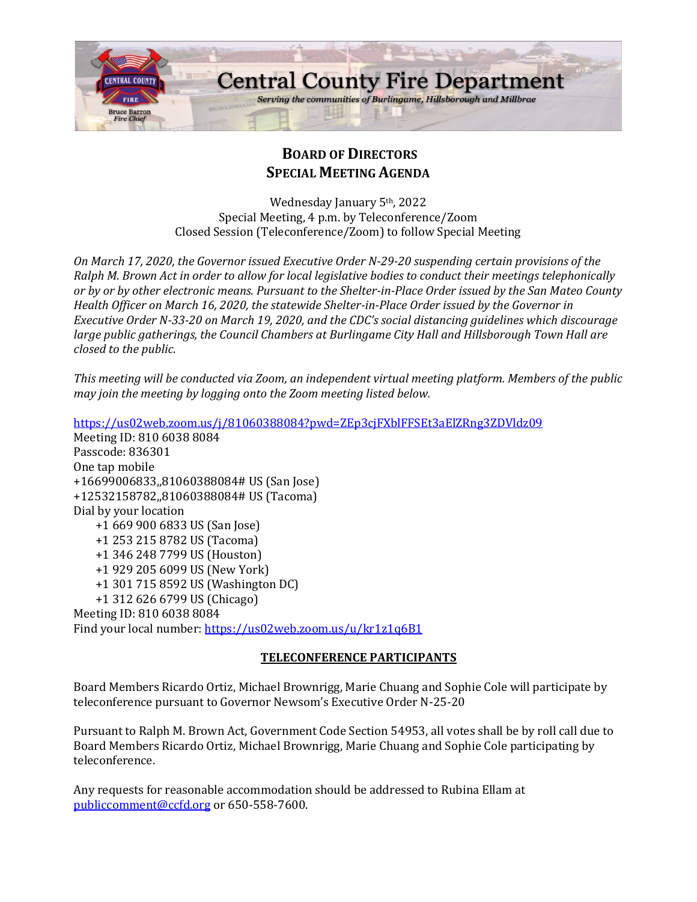

# **BOARD OF DIRECTORS SPECIAL MEETING AGENDA**

Wednesday January 5th, 2022 Special Meeting, 4 p.m. by Teleconference/Zoom Closed Session (Teleconference/Zoom) to follow Special Meeting

*On March 17, 2020, the Governor issued Executive Order N-29-20 suspending certain provisions of the Ralph M. Brown Act in order to allow for local legislative bodies to conduct their meetings telephonically or by or by other electronic means. Pursuant to the Shelter-in-Place Order issued by the San Mateo County Health Officer on March 16, 2020, the statewide Shelter-in-Place Order issued by the Governor in Executive Order N-33-20 on March 19, 2020, and the CDC's social distancing guidelines which discourage large public gatherings, the Council Chambers at Burlingame City Hall and Hillsborough Town Hall are closed to the public.*

*This meeting will be conducted via Zoom, an independent virtual meeting platform. Members of the public may join the meeting by logging onto the Zoom meeting listed below.* 

<https://us02web.zoom.us/j/81060388084?pwd=ZEp3cjFXblFFSEt3aElZRng3ZDVldz09> Meeting ID: 810 6038 8084 Passcode: 836301 One tap mobile +16699006833,,81060388084# US (San Jose) +12532158782,,81060388084# US (Tacoma) Dial by your location +1 669 900 6833 US (San Jose) +1 253 215 8782 US (Tacoma) +1 346 248 7799 US (Houston) +1 929 205 6099 US (New York) +1 301 715 8592 US (Washington DC) +1 312 626 6799 US (Chicago) Meeting ID: 810 6038 8084 Find your local number:<https://us02web.zoom.us/u/kr1z1q6B1>

# **TELECONFERENCE PARTICIPANTS**

Board Members Ricardo Ortiz, Michael Brownrigg, Marie Chuang and Sophie Cole will participate by teleconference pursuant to Governor Newsom's Executive Order N-25-20

Pursuant to Ralph M. Brown Act, Government Code Section 54953, all votes shall be by roll call due to Board Members Ricardo Ortiz, Michael Brownrigg, Marie Chuang and Sophie Cole participating by teleconference.

Any requests for reasonable accommodation should be addressed to Rubina Ellam at [publiccomment@ccfd.org](mailto:publiccomment@ccfd.org) or 650-558-7600.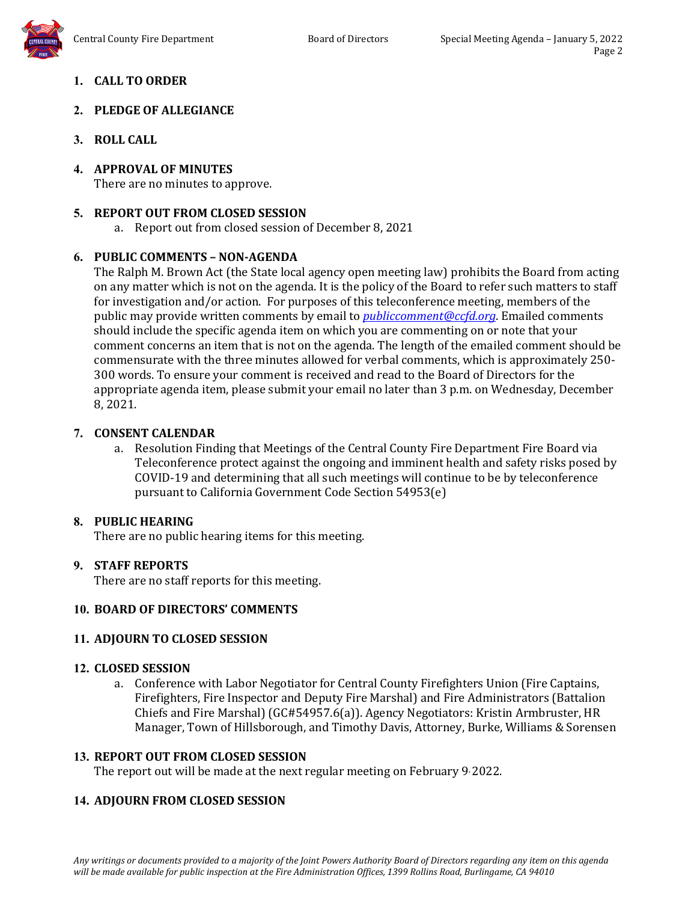

# **2. PLEDGE OF ALLEGIANCE**

- **3. ROLL CALL**
- **4. APPROVAL OF MINUTES** There are no minutes to approve.

# **5. REPORT OUT FROM CLOSED SESSION**

a. Report out from closed session of December 8, 2021

# **6. PUBLIC COMMENTS – NON-AGENDA**

The Ralph M. Brown Act (the State local agency open meeting law) prohibits the Board from acting on any matter which is not on the agenda. It is the policy of the Board to refer such matters to staff for investigation and/or action. For purposes of this teleconference meeting, members of the public may provide written comments by email to *[publiccomment@ccfd.org](mailto:publiccomment@ccfd.org)*. Emailed comments should include the specific agenda item on which you are commenting on or note that your comment concerns an item that is not on the agenda. The length of the emailed comment should be commensurate with the three minutes allowed for verbal comments, which is approximately 250- 300 words. To ensure your comment is received and read to the Board of Directors for the appropriate agenda item, please submit your email no later than 3 p.m. on Wednesday, December 8, 2021.

# **7. CONSENT CALENDAR**

a. Resolution Finding that Meetings of the Central County Fire Department Fire Board via Teleconference protect against the ongoing and imminent health and safety risks posed by COVID-19 and determining that all such meetings will continue to be by teleconference pursuant to California Government Code Section 54953(e)

# **8. PUBLIC HEARING**

There are no public hearing items for this meeting.

# **9. STAFF REPORTS**

There are no staff reports for this meeting.

# **10. BOARD OF DIRECTORS' COMMENTS**

# **11. ADJOURN TO CLOSED SESSION**

#### **12. CLOSED SESSION**

a. Conference with Labor Negotiator for Central County Firefighters Union (Fire Captains, Firefighters, Fire Inspector and Deputy Fire Marshal) and Fire Administrators (Battalion Chiefs and Fire Marshal) (GC#54957.6(a)). Agency Negotiators: Kristin Armbruster, HR Manager, Town of Hillsborough, and Timothy Davis, Attorney, Burke, Williams & Sorensen

# **13. REPORT OUT FROM CLOSED SESSION**

The report out will be made at the next regular meeting on February 9, 2022.

# **14. ADJOURN FROM CLOSED SESSION**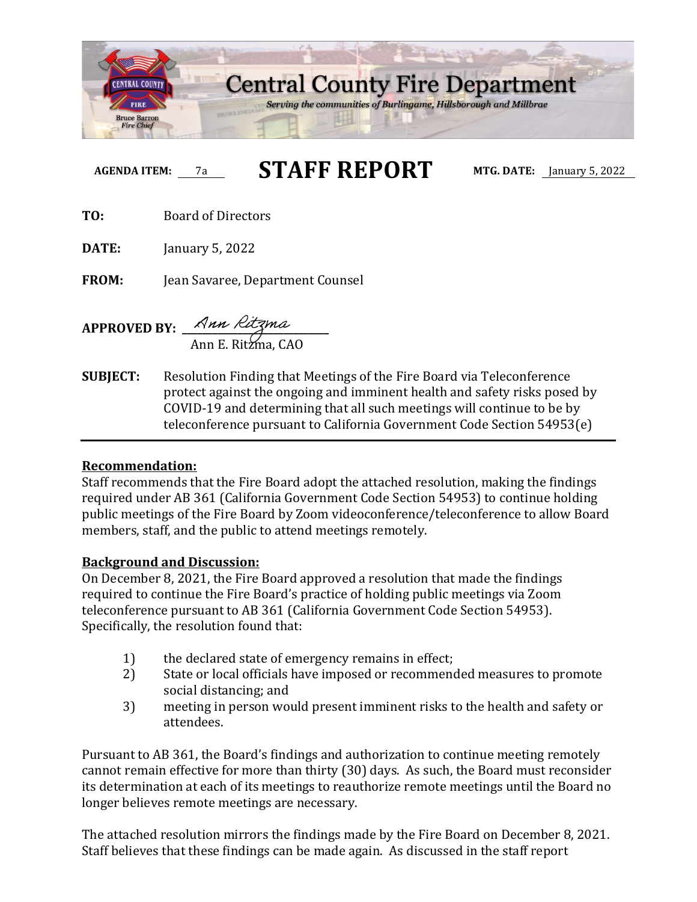

# **AGENDA ITEM:** 7a **STAFF REPORT MTG. DATE:** January 5, 2022

**TO:** Board of Directors

**DATE:** January 5, 2022

**FROM:** Jean Savaree, Department Counsel

**APPROVED BY: \_\_\_\_\_\_\_\_\_\_\_\_\_\_\_\_\_\_\_\_\_\_\_\_\_\_\_\_\_** Ann E. Ritzma, CAO

**SUBJECT:** Resolution Finding that Meetings of the Fire Board via Teleconference protect against the ongoing and imminent health and safety risks posed by COVID-19 and determining that all such meetings will continue to be by teleconference pursuant to California Government Code Section 54953(e)

# **Recommendation:**

Staff recommends that the Fire Board adopt the attached resolution, making the findings required under AB 361 (California Government Code Section 54953) to continue holding public meetings of the Fire Board by Zoom videoconference/teleconference to allow Board members, staff, and the public to attend meetings remotely.

# **Background and Discussion:**

On December 8, 2021, the Fire Board approved a resolution that made the findings required to continue the Fire Board's practice of holding public meetings via Zoom teleconference pursuant to AB 361 (California Government Code Section 54953). Specifically, the resolution found that:

- 1) the declared state of emergency remains in effect;<br>2) State or local officials have imposed or recommenc
- State or local officials have imposed or recommended measures to promote social distancing; and
- 3) meeting in person would present imminent risks to the health and safety or attendees.

Pursuant to AB 361, the Board's findings and authorization to continue meeting remotely cannot remain effective for more than thirty (30) days. As such, the Board must reconsider its determination at each of its meetings to reauthorize remote meetings until the Board no longer believes remote meetings are necessary.

The attached resolution mirrors the findings made by the Fire Board on December 8, 2021. Staff believes that these findings can be made again. As discussed in the staff report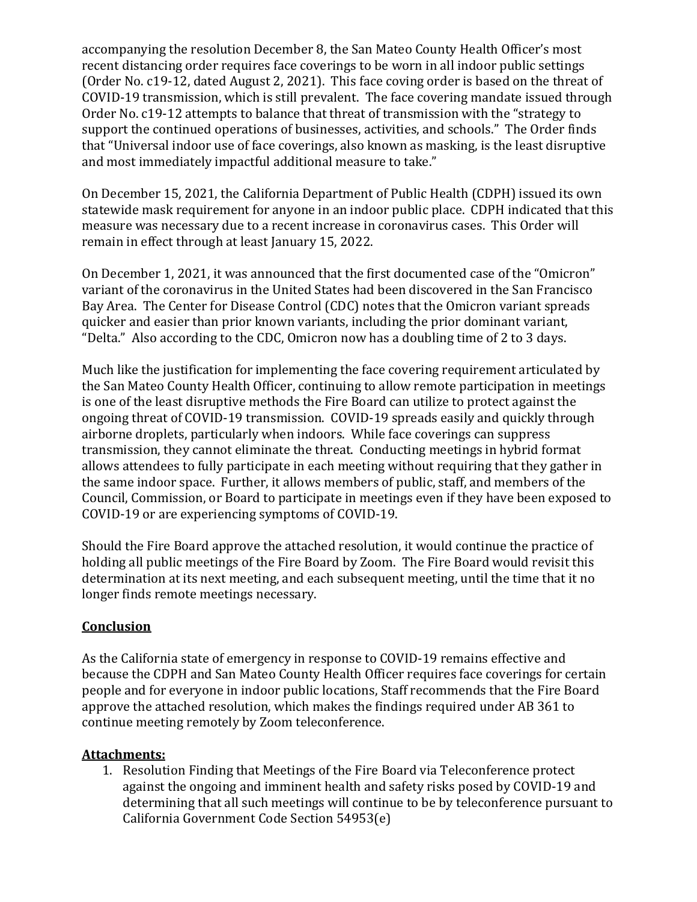accompanying the resolution December 8, the San Mateo County Health Officer's most recent distancing order requires face coverings to be worn in all indoor public settings (Order No. c19-12, dated August 2, 2021). This face coving order is based on the threat of COVID-19 transmission, which is still prevalent. The face covering mandate issued through Order No. c19-12 attempts to balance that threat of transmission with the "strategy to support the continued operations of businesses, activities, and schools." The Order finds that "Universal indoor use of face coverings, also known as masking, is the least disruptive and most immediately impactful additional measure to take."

On December 15, 2021, the California Department of Public Health (CDPH) issued its own statewide mask requirement for anyone in an indoor public place. CDPH indicated that this measure was necessary due to a recent increase in coronavirus cases. This Order will remain in effect through at least January 15, 2022.

On December 1, 2021, it was announced that the first documented case of the "Omicron" variant of the coronavirus in the United States had been discovered in the San Francisco Bay Area. The Center for Disease Control (CDC) notes that the Omicron variant spreads quicker and easier than prior known variants, including the prior dominant variant, "Delta." Also according to the CDC, Omicron now has a doubling time of 2 to 3 days.

Much like the justification for implementing the face covering requirement articulated by the San Mateo County Health Officer, continuing to allow remote participation in meetings is one of the least disruptive methods the Fire Board can utilize to protect against the ongoing threat of COVID-19 transmission. COVID-19 spreads easily and quickly through airborne droplets, particularly when indoors. While face coverings can suppress transmission, they cannot eliminate the threat. Conducting meetings in hybrid format allows attendees to fully participate in each meeting without requiring that they gather in the same indoor space. Further, it allows members of public, staff, and members of the Council, Commission, or Board to participate in meetings even if they have been exposed to COVID-19 or are experiencing symptoms of COVID-19.

Should the Fire Board approve the attached resolution, it would continue the practice of holding all public meetings of the Fire Board by Zoom. The Fire Board would revisit this determination at its next meeting, and each subsequent meeting, until the time that it no longer finds remote meetings necessary.

# **Conclusion**

As the California state of emergency in response to COVID-19 remains effective and because the CDPH and San Mateo County Health Officer requires face coverings for certain people and for everyone in indoor public locations, Staff recommends that the Fire Board approve the attached resolution, which makes the findings required under AB 361 to continue meeting remotely by Zoom teleconference.

# **Attachments:**

1. Resolution Finding that Meetings of the Fire Board via Teleconference protect against the ongoing and imminent health and safety risks posed by COVID-19 and determining that all such meetings will continue to be by teleconference pursuant to California Government Code Section 54953(e)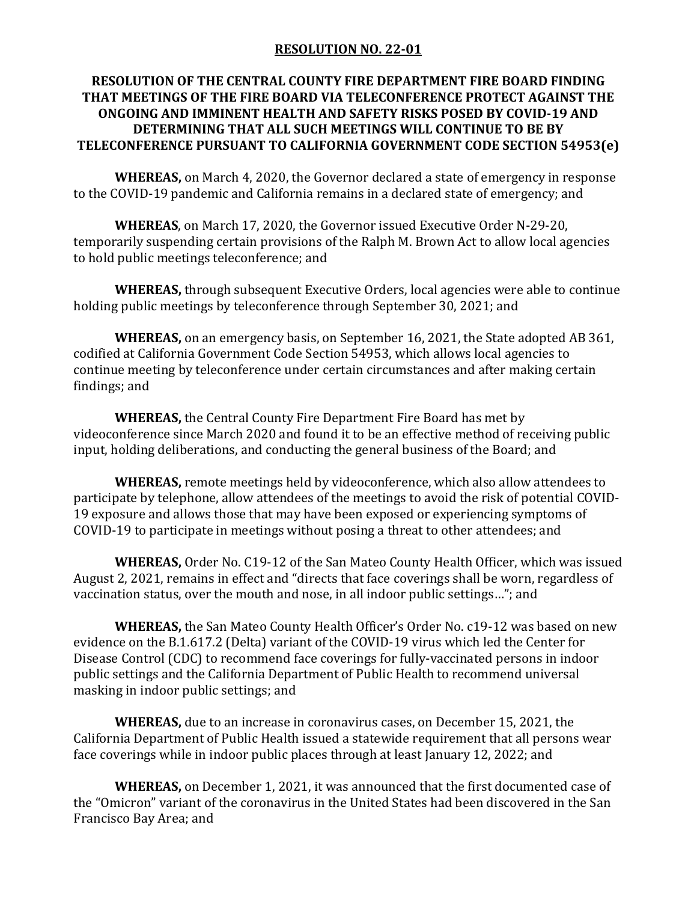# **RESOLUTION NO. 22-01**

# **RESOLUTION OF THE CENTRAL COUNTY FIRE DEPARTMENT FIRE BOARD FINDING THAT MEETINGS OF THE FIRE BOARD VIA TELECONFERENCE PROTECT AGAINST THE ONGOING AND IMMINENT HEALTH AND SAFETY RISKS POSED BY COVID-19 AND DETERMINING THAT ALL SUCH MEETINGS WILL CONTINUE TO BE BY TELECONFERENCE PURSUANT TO CALIFORNIA GOVERNMENT CODE SECTION 54953(e)**

**WHEREAS,** on March 4, 2020, the Governor declared a state of emergency in response to the COVID-19 pandemic and California remains in a declared state of emergency; and

**WHEREAS**, on March 17, 2020, the Governor issued Executive Order N-29-20, temporarily suspending certain provisions of the Ralph M. Brown Act to allow local agencies to hold public meetings teleconference; and

**WHEREAS,** through subsequent Executive Orders, local agencies were able to continue holding public meetings by teleconference through September 30, 2021; and

**WHEREAS,** on an emergency basis, on September 16, 2021, the State adopted AB 361, codified at California Government Code Section 54953, which allows local agencies to continue meeting by teleconference under certain circumstances and after making certain findings; and

**WHEREAS,** the Central County Fire Department Fire Board has met by videoconference since March 2020 and found it to be an effective method of receiving public input, holding deliberations, and conducting the general business of the Board; and

**WHEREAS,** remote meetings held by videoconference, which also allow attendees to participate by telephone, allow attendees of the meetings to avoid the risk of potential COVID-19 exposure and allows those that may have been exposed or experiencing symptoms of COVID-19 to participate in meetings without posing a threat to other attendees; and

**WHEREAS,** Order No. C19-12 of the San Mateo County Health Officer, which was issued August 2, 2021, remains in effect and "directs that face coverings shall be worn, regardless of vaccination status, over the mouth and nose, in all indoor public settings…"; and

**WHEREAS,** the San Mateo County Health Officer's Order No. c19-12 was based on new evidence on the B.1.617.2 (Delta) variant of the COVID-19 virus which led the Center for Disease Control (CDC) to recommend face coverings for fully-vaccinated persons in indoor public settings and the California Department of Public Health to recommend universal masking in indoor public settings; and

**WHEREAS,** due to an increase in coronavirus cases, on December 15, 2021, the California Department of Public Health issued a statewide requirement that all persons wear face coverings while in indoor public places through at least January 12, 2022; and

**WHEREAS,** on December 1, 2021, it was announced that the first documented case of the "Omicron" variant of the coronavirus in the United States had been discovered in the San Francisco Bay Area; and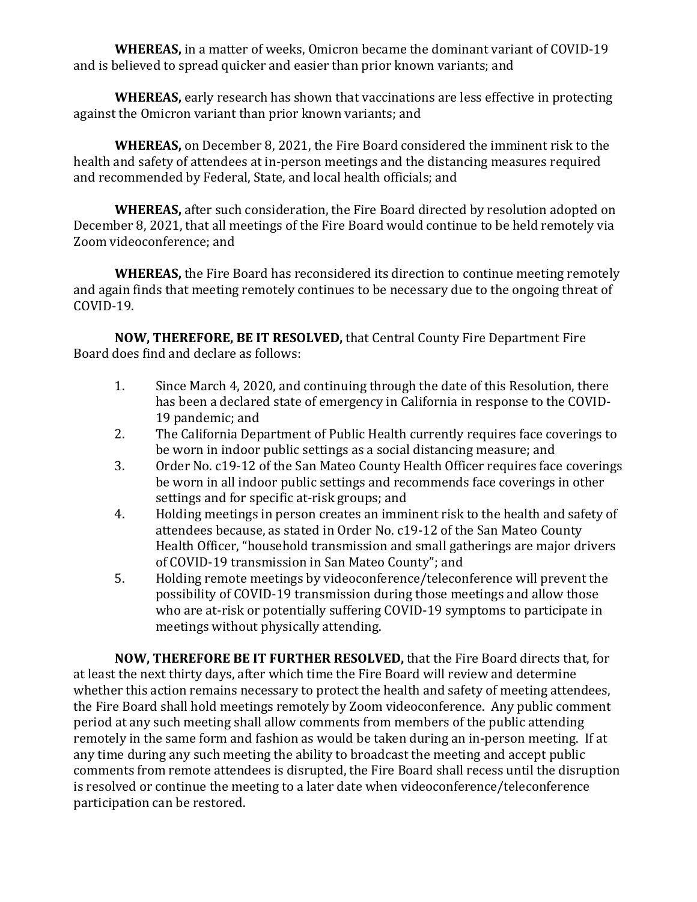**WHEREAS,** in a matter of weeks, Omicron became the dominant variant of COVID-19 and is believed to spread quicker and easier than prior known variants; and

**WHEREAS,** early research has shown that vaccinations are less effective in protecting against the Omicron variant than prior known variants; and

**WHEREAS,** on December 8, 2021, the Fire Board considered the imminent risk to the health and safety of attendees at in-person meetings and the distancing measures required and recommended by Federal, State, and local health officials; and

**WHEREAS,** after such consideration, the Fire Board directed by resolution adopted on December 8, 2021, that all meetings of the Fire Board would continue to be held remotely via Zoom videoconference; and

**WHEREAS,** the Fire Board has reconsidered its direction to continue meeting remotely and again finds that meeting remotely continues to be necessary due to the ongoing threat of COVID-19.

**NOW, THEREFORE, BE IT RESOLVED,** that Central County Fire Department Fire Board does find and declare as follows:

- 1. Since March 4, 2020, and continuing through the date of this Resolution, there has been a declared state of emergency in California in response to the COVID-19 pandemic; and
- 2. The California Department of Public Health currently requires face coverings to be worn in indoor public settings as a social distancing measure; and
- 3. Order No. c19-12 of the San Mateo County Health Officer requires face coverings be worn in all indoor public settings and recommends face coverings in other settings and for specific at-risk groups; and
- 4. Holding meetings in person creates an imminent risk to the health and safety of attendees because, as stated in Order No. c19-12 of the San Mateo County Health Officer, "household transmission and small gatherings are major drivers of COVID-19 transmission in San Mateo County"; and
- 5. Holding remote meetings by videoconference/teleconference will prevent the possibility of COVID-19 transmission during those meetings and allow those who are at-risk or potentially suffering COVID-19 symptoms to participate in meetings without physically attending.

**NOW, THEREFORE BE IT FURTHER RESOLVED,** that the Fire Board directs that, for at least the next thirty days, after which time the Fire Board will review and determine whether this action remains necessary to protect the health and safety of meeting attendees, the Fire Board shall hold meetings remotely by Zoom videoconference. Any public comment period at any such meeting shall allow comments from members of the public attending remotely in the same form and fashion as would be taken during an in-person meeting. If at any time during any such meeting the ability to broadcast the meeting and accept public comments from remote attendees is disrupted, the Fire Board shall recess until the disruption is resolved or continue the meeting to a later date when videoconference/teleconference participation can be restored.